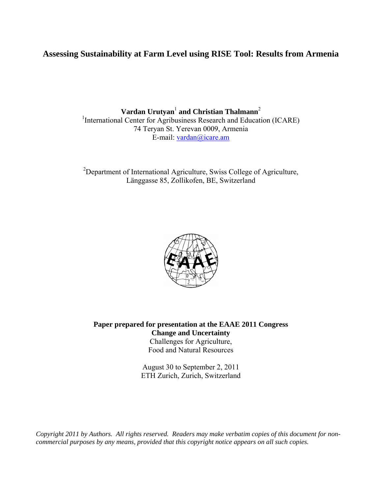# **Assessing Sustainability at Farm Level using RISE Tool: Results from Armenia**

 $\mathbf{Vardan}\ \mathbf{Urutyan}^{1}$  and  $\mathbf{Christian}\ \mathbf{Thalmann}^{2}$ <sup>1</sup>International Center for Agribusiness Research and Education (ICARE) 74 Teryan St. Yerevan 0009, Armenia E-mail: [vardan@icare.am](mailto:vardan@icare.am)

<sup>2</sup>Department of International Agriculture, Swiss College of Agriculture, Länggasse 85, Zollikofen, BE, Switzerland



**Paper prepared for presentation at the EAAE 2011 Congress Change and Uncertainty** Challenges for Agriculture,

Food and Natural Resources

August 30 to September 2, 2011 ETH Zurich, Zurich, Switzerland

*Copyright 2011 by Authors. All rights reserved. Readers may make verbatim copies of this document for noncommercial purposes by any means, provided that this copyright notice appears on all such copies.*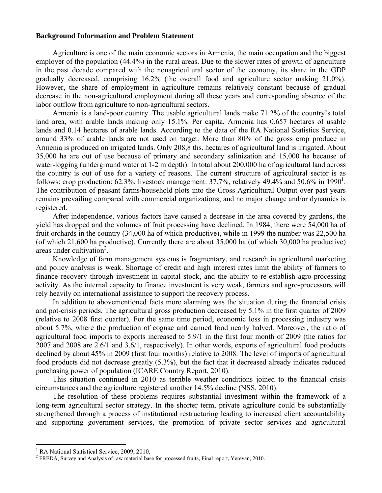#### **Background Information and Problem Statement**

Agriculture is one of the main economic sectors in Armenia, the main occupation and the biggest employer of the population (44.4%) in the rural areas. Due to the slower rates of growth of agriculture in the past decade compared with the nonagricultural sector of the economy, its share in the GDP gradually decreased, comprising 16.2% (the overall food and agriculture sector making 21.0%). However, the share of employment in agriculture remains relatively constant because of gradual decrease in the non-agricultural employment during all these years and corresponding absence of the labor outflow from agriculture to non-agricultural sectors.

Armenia is а land-poor country. The usable agricultural lands make 71.2% of the country's total land area, with arable lands making only 15.1%. Per capita, Armenia has 0.657 hectares of usable lands and 0.14 hectares of arable lands. According to the data of the RA National Statistics Service, around 33% of arable lands are not used on target. More than 80% of the gross crop produce in Armenia is produced on irrigated lands. Only 208,8 ths. hectares of agricultural land is irrigated. About 35,000 ha are out of use because of primary and secondary salinization and 15,000 ha because of water-logging (underground water at 1-2 m depth). In total about 200,000 ha of agricultural land across the country is out of use for a variety of reasons. The current structure of agricultural sector is as follows: crop production: 62.3%, livestock management: 37.7%, relatively 49.4% and 50.6% in [1](#page-1-0)990<sup>1</sup>. The contribution of peasant farms/household plots into the Gross Agricultural Output over past years remains prevailing compared with commercial organizations; and no major change and/or dynamics is registered.

After independence, various factors have caused a decrease in the area covered by gardens, the yield has dropped and the volumes of fruit processing have declined. In 1984, there were 54,000 ha of fruit orchards in the country (34,000 ha of which productive), while in 1999 the number was 22,500 ha (of which 21,600 ha productive). Currently there are about 35,000 ha (of which 30,000 ha productive)  $\arccos$  under cultivation<sup>[2](#page-1-1)</sup>.

Knowledge of farm management systems is fragmentary, and research in agricultural marketing and policy analysis is weak. Shortage of credit and high interest rates limit the ability of farmers to finance recovery through investment in capital stock, and the ability to re-establish agro-processing activity. As the internal capacity to finance investment is very weak, farmers and agro-processors will rely heavily on international assistance to support the recovery process.

In addition to abovementioned facts more alarming was the situation during the financial crisis and pot-crisis periods. The agricultural gross production decreased by 5.1% in the first quarter of 2009 (relative to 2008 first quarter). For the same time period, economic loss in processing industry was about 5.7%, where the production of cognac and canned food nearly halved. Moreover, the ratio of agricultural food imports to exports increased to 5.9/1 in the first four month of 2009 (the ratios for 2007 and 2008 are 2.6/1 and 3.6/1, respectively). In other words, exports of agricultural food products declined by about 45% in 2009 (first four months) relative to 2008. The level of imports of agricultural food products did not decrease greatly (5.3%), but the fact that it decreased already indicates reduced purchasing power of population (ICARE Country Report, 2010).

This situation continued in 2010 as terrible weather conditions joined to the financial crisis circumstances and the agriculture registered another 14.5% decline (NSS, 2010).

The resolution of these problems requires substantial investment within the framework of a long-term agricultural sector strategy. In the shorter term, private agriculture could be substantially strengthened through a process of institutional restructuring leading to increased client accountability and supporting government services, the promotion of private sector services and agricultural

<u>.</u>

<span id="page-1-0"></span><sup>&</sup>lt;sup>1</sup> RA National Statistical Service, 2009, 2010.

<span id="page-1-1"></span> $2$  FREDA, Survey and Analysis of raw material base for processed fruits, Final report, Yerevan, 2010.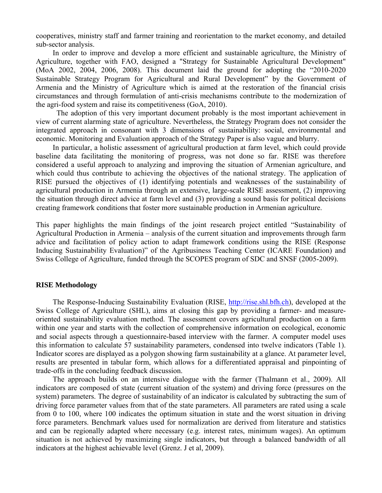cooperatives, ministry staff and farmer training and reorientation to the market economy, and detailed sub-sector analysis.

In order to improve and develop a more efficient and sustainable agriculture, the Ministry of Agriculture, together with FAO, designed a "Strategy for Sustainable Agricultural Development" (MoA 2002, 2004, 2006, 2008). This document laid the ground for adopting the "2010-2020 Sustainable Strategy Program for Agricultural and Rural Development" by the Government of Armenia and the Ministry of Agriculture which is aimed at the restoration of the financial crisis circumstances and through formulation of anti-crisis mechanisms contribute to the modernization of the agri-food system and raise its competitiveness (GoA, 2010).

 The adoption of this very important document probably is the most important achievement in view of current alarming state of agriculture. Nevertheless, the Strategy Program does not consider the integrated approach in consonant with 3 dimensions of sustainability: social, environmental and economic. Monitoring and Evaluation approach of the Strategy Paper is also vague and blurry.

In particular, a holistic assessment of agricultural production at farm level, which could provide baseline data facilitating the monitoring of progress, was not done so far. RISE was therefore considered a useful approach to analyzing and improving the situation of Armenian agriculture, and which could thus contribute to achieving the objectives of the national strategy. The application of RISE pursued the objectives of (1) identifying potentials and weaknesses of the sustainability of agricultural production in Armenia through an extensive, large-scale RISE assessment, (2) improving the situation through direct advice at farm level and (3) providing a sound basis for political decisions creating framework conditions that foster more sustainable production in Armenian agriculture.

This paper highlights the main findings of the joint research project entitled "Sustainability of Agricultural Production in Armenia – analysis of the current situation and improvements through farm advice and facilitation of policy action to adapt framework conditions using the RISE (Response Inducing Sustainability Evaluation)" of the Agribusiness Teaching Center (ICARE Foundation) and Swiss College of Agriculture, funded through the SCOPES program of SDC and SNSF (2005-2009).

### **RISE Methodology**

The Response-Inducing Sustainability Evaluation (RISE, [http://rise.shl.bfh.ch\)](http://rise.shl.bfh.ch/), developed at the Swiss College of Agriculture (SHL), aims at closing this gap by providing a farmer- and measureoriented sustainability evaluation method. The assessment covers agricultural production on a farm within one year and starts with the collection of comprehensive information on ecological, economic and social aspects through a questionnaire-based interview with the farmer. A computer model uses this information to calculate 57 sustainability parameters, condensed into twelve indicators (Table 1). Indicator scores are displayed as a polygon showing farm sustainability at a glance. At parameter level, results are presented in tabular form, which allows for a differentiated appraisal and pinpointing of trade-offs in the concluding feedback discussion.

The approach builds on an intensive dialogue with the farmer (Thalmann et al., 2009). All indicators are composed of state (current situation of the system) and driving force (pressures on the system) parameters. The degree of sustainability of an indicator is calculated by subtracting the sum of driving force parameter values from that of the state parameters. All parameters are rated using a scale from 0 to 100, where 100 indicates the optimum situation in state and the worst situation in driving force parameters. Benchmark values used for normalization are derived from literature and statistics and can be regionally adapted where necessary (e.g. interest rates, minimum wages). An optimum situation is not achieved by maximizing single indicators, but through a balanced bandwidth of all indicators at the highest achievable level (Grenz. J et al, 2009).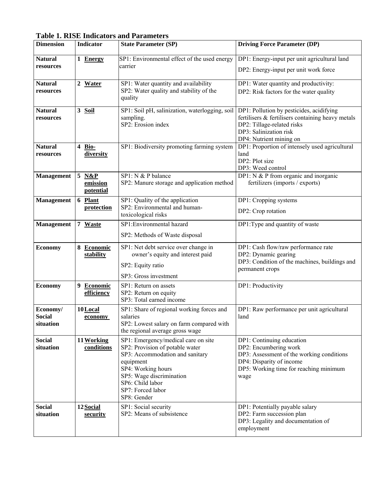| <b>Dimension</b>                       | <b>Indicator</b>                               | <b>State Parameter (SP)</b>                                                                                                                                                                                                      | <b>Driving Force Parameter (DP)</b>                                                                                                                                              |
|----------------------------------------|------------------------------------------------|----------------------------------------------------------------------------------------------------------------------------------------------------------------------------------------------------------------------------------|----------------------------------------------------------------------------------------------------------------------------------------------------------------------------------|
| <b>Natural</b><br>resources            | 1 Energy                                       | SP1: Environmental effect of the used energy<br>carrier                                                                                                                                                                          | DP1: Energy-input per unit agricultural land<br>DP2: Energy-input per unit work force                                                                                            |
| <b>Natural</b><br>resources            | 2 Water                                        | SP1: Water quantity and availability<br>SP2: Water quality and stability of the<br>quality                                                                                                                                       | DP1: Water quantity and productivity:<br>DP2: Risk factors for the water quality                                                                                                 |
| <b>Natural</b><br>resources            | 3 Soil                                         | SP1: Soil pH, salinization, waterlogging, soil<br>sampling.<br>SP2: Erosion index                                                                                                                                                | DP1: Pollution by pesticides, acidifying<br>fertilisers & fertilisers containing heavy metals<br>DP2: Tillage-related risks<br>DP3: Salinization risk<br>DP4: Nutrient mining on |
| <b>Natural</b><br>resources            | Bio-<br>4<br>diversity                         | SP1: Biodiversity promoting farming system                                                                                                                                                                                       | DP1: Proportion of intensely used agricultural<br>land<br>DP2: Plot size<br>DP3: Weed control                                                                                    |
| <b>Management</b>                      | $\overline{5}$<br>N&P<br>emission<br>potential | SP1: N & P balance<br>SP2: Manure storage and application method                                                                                                                                                                 | DP1: $N$ & P from organic and inorganic<br>fertilizers (imports / exports)                                                                                                       |
| <b>Management</b>                      | 6 Plant<br>protection                          | SP1: Quality of the application<br>SP2: Environmental and human-<br>toxicological risks                                                                                                                                          | DP1: Cropping systems<br>DP2: Crop rotation                                                                                                                                      |
| <b>Management</b>                      | 7 Waste                                        | SP1: Environmental hazard<br>SP2: Methods of Waste disposal                                                                                                                                                                      | DP1:Type and quantity of waste                                                                                                                                                   |
| <b>Economy</b>                         | 8.<br><b>Economic</b><br>stability             | SP1: Net debt service over change in<br>owner's equity and interest paid<br>SP2: Equity ratio<br>SP3: Gross investment                                                                                                           | DP1: Cash flow/raw performance rate<br>DP2: Dynamic gearing<br>DP3: Condition of the machines, buildings and<br>permanent crops                                                  |
| <b>Economy</b>                         | 9 Economic<br>efficiency                       | SP1: Return on assets<br>SP2: Return on equity<br>SP3: Total earned income                                                                                                                                                       | DP1: Productivity                                                                                                                                                                |
| Economy/<br><b>Social</b><br>situation | 10 Local<br>economy                            | SP1: Share of regional working forces and<br>salaries<br>SP2: Lowest salary on farm compared with<br>the regional average gross wage                                                                                             | DP1: Raw performance per unit agricultural<br>land                                                                                                                               |
| <b>Social</b><br>situation             | 11 Working<br>conditions                       | SP1: Emergency/medical care on site<br>SP2: Provision of potable water<br>SP3: Accommodation and sanitary<br>equipment<br>SP4: Working hours<br>SP5: Wage discrimination<br>SP6: Child labor<br>SP7: Forced labor<br>SP8: Gender | DP1: Continuing education<br>DP2: Encumbering work<br>DP3: Assessment of the working conditions<br>DP4: Disparity of income<br>DP5: Working time for reaching minimum<br>wage    |
| <b>Social</b><br>situation             | 12 Social<br><u>security</u>                   | SP1: Social security<br>SP2: Means of subsistence                                                                                                                                                                                | DP1: Potentially payable salary<br>DP2: Farm succession plan<br>DP3: Legality and documentation of<br>employment                                                                 |

**Table 1. RISE Indicators and Parameters**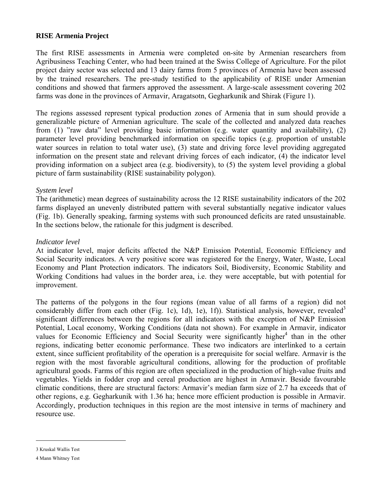# **RISE Armenia Project**

The first RISE assessments in Armenia were completed on-site by Armenian researchers from Agribusiness Teaching Center, who had been trained at the Swiss College of Agriculture. For the pilot project dairy sector was selected and 13 dairy farms from 5 provinces of Armenia have been assessed by the trained researchers. The pre-study testified to the applicability of RISE under Armenian conditions and showed that farmers approved the assessment. A large-scale assessment covering 202 farms was done in the provinces of Armavir, Aragatsotn, Gegharkunik and Shirak (Figure 1).

The regions assessed represent typical production zones of Armenia that in sum should provide a generalizable picture of Armenian agriculture. The scale of the collected and analyzed data reaches from (1) "raw data" level providing basic information (e.g. water quantity and availability), (2) parameter level providing benchmarked information on specific topics (e.g. proportion of unstable water sources in relation to total water use), (3) state and driving force level providing aggregated information on the present state and relevant driving forces of each indicator, (4) the indicator level providing information on a subject area (e.g. biodiversity), to (5) the system level providing a global picture of farm sustainability (RISE sustainability polygon).

## *System level*

The (arithmetic) mean degrees of sustainability across the 12 RISE sustainability indicators of the 202 farms displayed an unevenly distributed pattern with several substantially negative indicator values (Fig. 1b). Generally speaking, farming systems with such pronounced deficits are rated unsustainable. In the sections below, the rationale for this judgment is described.

## *Indicator level*

At indicator level, major deficits affected the N&P Emission Potential, Economic Efficiency and Social Security indicators. A very positive score was registered for the Energy, Water, Waste, Local Economy and Plant Protection indicators. The indicators Soil, Biodiversity, Economic Stability and Working Conditions had values in the border area, i.e. they were acceptable, but with potential for improvement.

The patterns of the polygons in the four regions (mean value of all farms of a region) did not considerably differ from each other (Fig. 1c), 1d), 1e), 1f)). Statistical analysis, however, revealed<sup>3</sup> significant differences between the regions for all indicators with the exception of N&P Emission Potential, Local economy, Working Conditions (data not shown). For example in Armavir, indicator values for Economic Efficiency and Social Security were significantly higher<sup>[4](#page-4-1)</sup> than in the other regions, indicating better economic performance. These two indicators are interlinked to a certain extent, since sufficient profitability of the operation is a prerequisite for social welfare. Armavir is the region with the most favorable agricultural conditions, allowing for the production of profitable agricultural goods. Farms of this region are often specialized in the production of high-value fruits and vegetables. Yields in fodder crop and cereal production are highest in Armavir. Beside favourable climatic conditions, there are structural factors: Armavir's median farm size of 2.7 ha exceeds that of other regions, e.g. Gegharkunik with 1.36 ha; hence more efficient production is possible in Armavir. Accordingly, production techniques in this region are the most intensive in terms of machinery and resource use.

1

<span id="page-4-0"></span><sup>3</sup> Kruskal Wallis Test

<span id="page-4-1"></span><sup>4</sup> Mann Whitney Test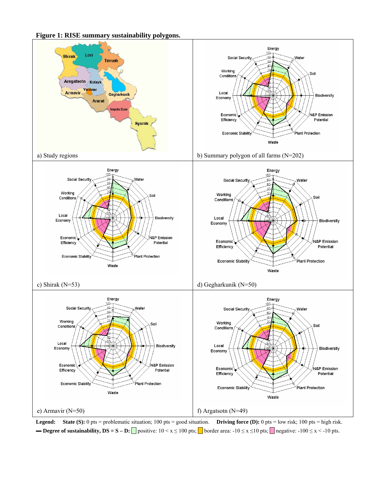**Figure 1: RISE summary sustainability polygons.** 



**Legend: State (S):** 0 pts = problematic situation; 100 pts = good situation. **Driving force (D):** 0 pts = low risk; 100 pts = high risk. **- Degree of sustainability, DS = S – D:** positive:  $10 \le x \le 100$  pts; border area:  $-10 \le x \le 10$  pts; negative:  $-100 \le x \le -10$  pts.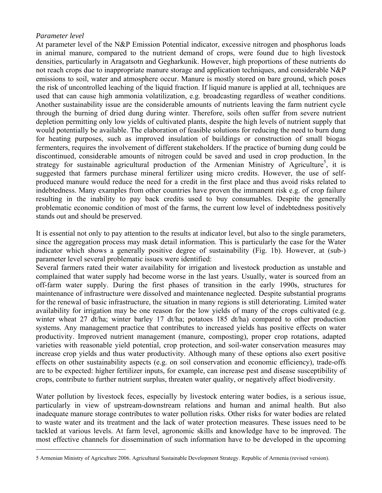# *Parameter level*

<u>.</u>

At parameter level of the N&P Emission Potential indicator, excessive nitrogen and phosphorus loads in animal manure, compared to the nutrient demand of crops, were found due to high livestock densities, particularly in Aragatsotn and Gegharkunik. However, high proportions of these nutrients do not reach crops due to inappropriate manure storage and application techniques, and considerable N&P emissions to soil, water and atmosphere occur. Manure is mostly stored on bare ground, which poses the risk of uncontrolled leaching of the liquid fraction. If liquid manure is applied at all, techniques are used that can cause high ammonia volatilization, e.g. broadcasting regardless of weather conditions. Another sustainability issue are the considerable amounts of nutrients leaving the farm nutrient cycle through the burning of dried dung during winter. Therefore, soils often suffer from severe nutrient depletion permitting only low yields of cultivated plants, despite the high levels of nutrient supply that would potentially be available. The elaboration of feasible solutions for reducing the need to burn dung for heating purposes, such as improved insulation of buildings or construction of small biogas fermenters, requires the involvement of different stakeholders. If the practice of burning dung could be discontinued, considerable amounts of nitrogen could be saved and used in crop production. In the strategy for sustainable agricultural production of the Armenian Ministry of Agriculture<sup>[5](#page-6-0)</sup>, it is suggested that farmers purchase mineral fertilizer using micro credits. However, the use of selfproduced manure would reduce the need for a credit in the first place and thus avoid risks related to indebtedness. Many examples from other countries have proven the immanent risk e.g. of crop failure resulting in the inability to pay back credits used to buy consumables. Despite the generally problematic economic condition of most of the farms, the current low level of indebtedness positively stands out and should be preserved.

It is essential not only to pay attention to the results at indicator level, but also to the single parameters, since the aggregation process may mask detail information. This is particularly the case for the Water indicator which shows a generally positive degree of sustainability (Fig. 1b). However, at (sub-) parameter level several problematic issues were identified:

Several farmers rated their water availability for irrigation and livestock production as unstable and complained that water supply had become worse in the last years. Usually, water is sourced from an off-farm water supply. During the first phases of transition in the early 1990s, structures for maintenance of infrastructure were dissolved and maintenance neglected. Despite substantial programs for the renewal of basic infrastructure, the situation in many regions is still deteriorating. Limited water availability for irrigation may be one reason for the low yields of many of the crops cultivated (e.g. winter wheat 27 dt/ha; winter barley 17 dt/ha; potatoes 185 dt/ha) compared to other production systems. Any management practice that contributes to increased yields has positive effects on water productivity. Improved nutrient management (manure, composting), proper crop rotations, adapted varieties with reasonable yield potential, crop protection, and soil-water conservation measures may increase crop yields and thus water productivity. Although many of these options also exert positive effects on other sustainability aspects (e.g. on soil conservation and economic efficiency), trade-offs are to be expected: higher fertilizer inputs, for example, can increase pest and disease susceptibility of crops, contribute to further nutrient surplus, threaten water quality, or negatively affect biodiversity.

Water pollution by livestock feces, especially by livestock entering water bodies, is a serious issue, particularly in view of upstream-downstream relations and human and animal health. But also inadequate manure storage contributes to water pollution risks. Other risks for water bodies are related to waste water and its treatment and the lack of water protection measures. These issues need to be tackled at various levels. At farm level, agronomic skills and knowledge have to be improved. The most effective channels for dissemination of such information have to be developed in the upcoming

<span id="page-6-0"></span><sup>5</sup> Armenian Ministry of Agriculture 2006. Agricultural Sustainable Development Strategy. Republic of Armenia (revised version).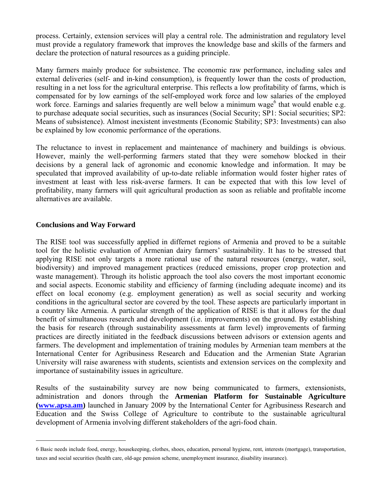process. Certainly, extension services will play a central role. The administration and regulatory level must provide a regulatory framework that improves the knowledge base and skills of the farmers and declare the protection of natural resources as a guiding principle.

Many farmers mainly produce for subsistence. The economic raw performance, including sales and external deliveries (self- and in-kind consumption), is frequently lower than the costs of production, resulting in a net loss for the agricultural enterprise. This reflects a low profitability of farms, which is compensated for by low earnings of the self-employed work force and low salaries of the employed work force. Earnings and salaries frequently are well below a minimum wage<sup>[6](#page-7-0)</sup> that would enable e.g. to purchase adequate social securities, such as insurances (Social Security; SP1: Social securities; SP2: Means of subsistence). Almost inexistent investments (Economic Stability; SP3: Investments) can also be explained by low economic performance of the operations.

The reluctance to invest in replacement and maintenance of machinery and buildings is obvious. However, mainly the well-performing farmers stated that they were somehow blocked in their decisions by a general lack of agronomic and economic knowledge and information. It may be speculated that improved availability of up-to-date reliable information would foster higher rates of investment at least with less risk-averse farmers. It can be expected that with this low level of profitability, many farmers will quit agricultural production as soon as reliable and profitable income alternatives are available.

# **Conclusions and Way Forward**

1

The RISE tool was successfully applied in differnet regions of Armenia and proved to be a suitable tool for the holistic evaluation of Armenian dairy farmers' sustainability. It has to be stressed that applying RISE not only targets a more rational use of the natural resources (energy, water, soil, biodiversity) and improved management practices (reduced emissions, proper crop protection and waste management). Through its holistic approach the tool also covers the most important economic and social aspects. Economic stability and efficiency of farming (including adequate income) and its effect on local economy (e.g. employment generation) as well as social security and working conditions in the agricultural sector are covered by the tool. These aspects are particularly important in a country like Armenia. A particular strength of the application of RISE is that it allows for the dual benefit of simultaneous research and development (i.e. improvements) on the ground. By establishing the basis for research (through sustainability assessments at farm level) improvements of farming practices are directly initiated in the feedback discussions between advisors or extension agents and farmers. The development and implementation of training modules by Armenian team members at the International Center for Agribusiness Research and Education and the Armenian State Agrarian University will raise awareness with students, scientists and extension services on the complexity and importance of sustainability issues in agriculture.

Results of the sustainability survey are now being communicated to farmers, extensionists, administration and donors through the **Armenian Platform for Sustainable Agriculture ([www.apsa.am\)](http://www.apsa.am/)** launched in January 2009 by the International Center for Agribusiness Research and Education and the Swiss College of Agriculture to contribute to the sustainable agricultural development of Armenia involving different stakeholders of the agri-food chain.

<span id="page-7-0"></span><sup>6</sup> Basic needs include food, energy, housekeeping, clothes, shoes, education, personal hygiene, rent, interests (mortgage), transportation, taxes and social securities (health care, old-age pension scheme, unemployment insurance, disability insurance).